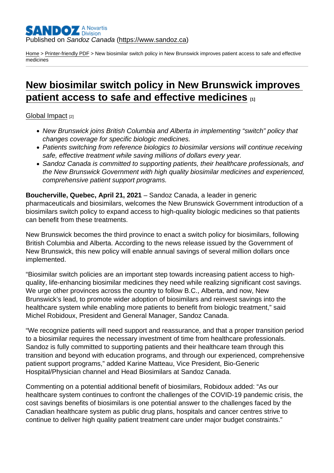## Published on Sandoz Canada [\(https://www.sandoz.ca](https://www.sandoz.ca))

[Home](https://www.sandoz.ca/en) > [Printer-friendly PDF](https://www.sandoz.ca/en/printpdf) > New biosimilar switch policy in New Brunswick improves patient access to safe and effective medicines

# [New biosimilar switch policy in New Brunswick improves](https://www.sandoz.ca/en/stories/global-impact/new-biosimilar-switch-policy-new-brunswick-improves-patient-access-safe-and)  [patient access to safe and effective medicines](https://www.sandoz.ca/en/stories/global-impact/new-biosimilar-switch-policy-new-brunswick-improves-patient-access-safe-and)  $\qquad \qquad$ [1]

#### [Global Impact](https://www.sandoz.ca/en/stories/global-impact) [2]

- New Brunswick joins British Columbia and Alberta in implementing "switch" policy that changes coverage for specific biologic medicines.
- Patients switching from reference biologics to biosimilar versions will continue receiving safe, effective treatment while saving millions of dollars every year.
- Sandoz Canada is committed to supporting patients, their healthcare professionals, and the New Brunswick Government with high quality biosimilar medicines and experienced, comprehensive patient support programs.

Boucherville, Quebec, April 21, 2021 – Sandoz Canada, a leader in generic pharmaceuticals and biosimilars, welcomes the New Brunswick Government introduction of a biosimilars switch policy to expand access to high-quality biologic medicines so that patients can benefit from these treatments.

New Brunswick becomes the third province to enact a switch policy for biosimilars, following British Columbia and Alberta. According to the news release issued by the Government of New Brunswick, this new policy will enable annual savings of several million dollars once implemented.

"Biosimilar switch policies are an important step towards increasing patient access to highquality, life-enhancing biosimilar medicines they need while realizing significant cost savings. We urge other provinces across the country to follow B.C., Alberta, and now, New Brunswick's lead, to promote wider adoption of biosimilars and reinvest savings into the healthcare system while enabling more patients to benefit from biologic treatment," said Michel Robidoux, President and General Manager, Sandoz Canada.

"We recognize patients will need support and reassurance, and that a proper transition period to a biosimilar requires the necessary investment of time from healthcare professionals. Sandoz is fully committed to supporting patients and their healthcare team through this transition and beyond with education programs, and through our experienced, comprehensive patient support programs," added Karine Matteau, Vice President, Bio-Generic Hospital/Physician channel and Head Biosimilars at Sandoz Canada.

Commenting on a potential additional benefit of biosimilars, Robidoux added: "As our healthcare system continues to confront the challenges of the COVID-19 pandemic crisis, the cost savings benefits of biosimilars is one potential answer to the challenges faced by the Canadian healthcare system as public drug plans, hospitals and cancer centres strive to continue to deliver high quality patient treatment care under major budget constraints."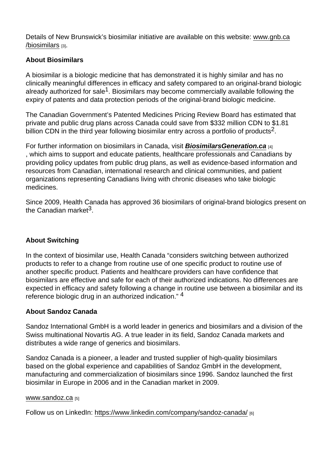Details of New Brunswick's biosimilar initiative are available on this website: www.gnb.ca /biosimilars [3].

## About Biosimilars

A biosimilar is a biologic medicine that has demonstrated it is highly similar and has no clinically meaningful differences in efficacy and safety compared to an original-brand biologic already authorized for sale<sup>1</sup>. Biosimilars may become commercially available following the expiry of patents and data protection periods of the original-brand biologic medicine.

The Canadian Government's Patented Medicines Pricing Review Board has estimated that private and public drug plans across Canada could save from \$332 million CDN to \$1.81 billion CDN in the third year following biosimilar entry across a portfolio of products<sup>2</sup>.

For further information on biosimilars in Canada, visit BiosimilarsGeneration.ca [4] , which aims to support and educate patients, healthcare professionals and Canadians by providing policy updates from public drug plans, as well as evidence-based information and resources from Canadian, international research and clinical communities, and patient organizations representing Canadians living with chronic diseases who take biologic medicines.

Since 2009, Health Canada has approved 36 biosimilars of original-brand biologics present on the Canadian market $^3$ 

# About Switching

In the context of biosimilar use, Health Canada "considers switching between authorized products to refer to a change from routine use of one specific product to routine use of another specific product. Patients and healthcare providers can have confidence that biosimilars are effective and safe for each of their authorized indications. No differences are expected in efficacy and safety following a change in routine use between a biosimilar and its reference biologic drug in an authorized indication." 4

#### About Sandoz Canada

Sandoz International GmbH is a world leader in generics and biosimilars and a division of the Swiss multinational Novartis AG. A true leader in its field, Sandoz Canada markets and distributes a wide range of generics and biosimilars.

Sandoz Canada is a pioneer, a leader and trusted supplier of high-quality biosimilars based on the global experience and capabilities of Sandoz GmbH in the development, manufacturing and commercialization of biosimilars since 1996. Sandoz launched the first biosimilar in Europe in 2006 and in the Canadian market in 2009.

#### www.sandoz.ca [5]

Follow us on LinkedIn: https://www.linkedin.com/company/sandoz-canada/ [6]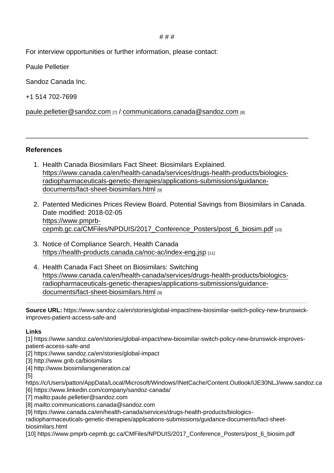# # #

For interview opportunities or further information, please contact:

Paule Pelletier

Sandoz Canada Inc.

+1 514 702-7699

paule.pelletier@sandoz.com  $_{[7]}$  / [communications.canada@sandoz.com](mailto:communications.canada@sandoz.com)  $_{[8]}$ 

References

- 1. Health Canada Biosimilars Fact Sheet: Biosimilars Explained. [https://www.canada.ca/en/health-canada/services/drugs-health-products/biologics](https://www.canada.ca/en/health-canada/services/drugs-health-products/biologics-radiopharmaceuticals-genetic-therapies/applications-submissions/guidance-documents/fact-sheet-biosimilars.html)[radiopharmaceuticals-genetic-therapies/applications-submissions/guidance](https://www.canada.ca/en/health-canada/services/drugs-health-products/biologics-radiopharmaceuticals-genetic-therapies/applications-submissions/guidance-documents/fact-sheet-biosimilars.html)[documents/fact-sheet-biosimilars.html](https://www.canada.ca/en/health-canada/services/drugs-health-products/biologics-radiopharmaceuticals-genetic-therapies/applications-submissions/guidance-documents/fact-sheet-biosimilars.html) [9]
- 2. Patented Medicines Prices Review Board. Potential Savings from Biosimilars in Canada. Date modified: 2018-02-05 [https://www.pmprb](https://www.pmprb-cepmb.gc.ca/CMFiles/NPDUIS/2017_Conference_Posters/post_6_biosim.pdf)[cepmb.gc.ca/CMFiles/NPDUIS/2017\\_Conference\\_Posters/post\\_6\\_biosim.pdf](https://www.pmprb-cepmb.gc.ca/CMFiles/NPDUIS/2017_Conference_Posters/post_6_biosim.pdf) [10]
- 3. Notice of Compliance Search, Health Canada <https://health-products.canada.ca/noc-ac/index-eng.jsp> [11]
- 4. Health Canada Fact Sheet on Biosimilars: Switching [https://www.canada.ca/en/health-canada/services/drugs-health-products/biologics](https://www.canada.ca/en/health-canada/services/drugs-health-products/biologics-radiopharmaceuticals-genetic-therapies/applications-submissions/guidance-documents/fact-sheet-biosimilars.html)[radiopharmaceuticals-genetic-therapies/applications-submissions/guidance](https://www.canada.ca/en/health-canada/services/drugs-health-products/biologics-radiopharmaceuticals-genetic-therapies/applications-submissions/guidance-documents/fact-sheet-biosimilars.html)[documents/fact-sheet-biosimilars.html](https://www.canada.ca/en/health-canada/services/drugs-health-products/biologics-radiopharmaceuticals-genetic-therapies/applications-submissions/guidance-documents/fact-sheet-biosimilars.html) [9]

Source URL: https://www.sandoz.ca/en/stories/global-impact/new-biosimilar-switch-policy-new-brunswickimproves-patient-access-safe-and

Links

[1] https://www.sandoz.ca/en/stories/global-impact/new-biosimilar-switch-policy-new-brunswick-improvespatient-access-safe-and

[2] https://www.sandoz.ca/en/stories/global-impact

[3] http://www.gnb.ca/biosimilars

[4] http://www.biosimilarsgeneration.ca/

[5]

https://c/Users/patton/AppData/Local/Microsoft/Windows/INetCache/Content.Outlook/IJE30NLJ/www.sandoz.ca [6] https://www.linkedin.com/company/sandoz-canada/

[7] mailto:paule.pelletier@sandoz.com

[8] mailto:communications.canada@sandoz.com

[9] https://www.canada.ca/en/health-canada/services/drugs-health-products/biologics-

radiopharmaceuticals-genetic-therapies/applications-submissions/guidance-documents/fact-sheetbiosimilars.html

[10] https://www.pmprb-cepmb.gc.ca/CMFiles/NPDUIS/2017 Conference Posters/post 6 biosim.pdf